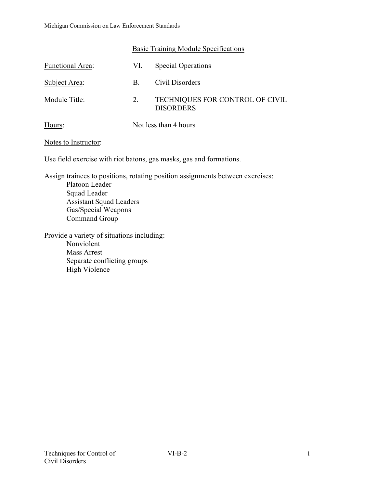|                  | Basic Training Module Specifications |                                                     |  |
|------------------|--------------------------------------|-----------------------------------------------------|--|
| Functional Area: | VI.                                  | <b>Special Operations</b>                           |  |
| Subject Area:    | B.                                   | Civil Disorders                                     |  |
| Module Title:    | 2.                                   | TECHNIQUES FOR CONTROL OF CIVIL<br><b>DISORDERS</b> |  |
| Hours:           |                                      | Not less than 4 hours                               |  |

#### Notes to Instructor:

Use field exercise with riot batons, gas masks, gas and formations.

Assign trainees to positions, rotating position assignments between exercises: Platoon Leader Squad Leader Assistant Squad Leaders Gas/Special Weapons Command Group

Provide a variety of situations including: Nonviolent Mass Arrest Separate conflicting groups High Violence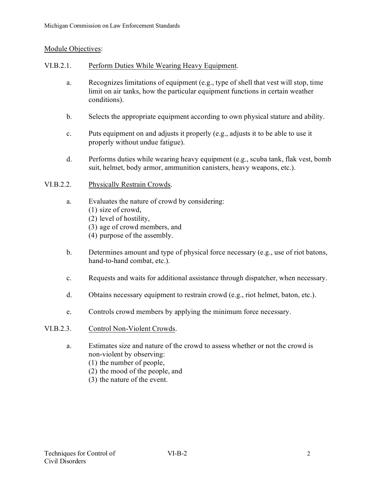# Module Objectives:

## VI.B.2.1. Perform Duties While Wearing Heavy Equipment.

- a. Recognizes limitations of equipment (e.g., type of shell that vest will stop, time limit on air tanks, how the particular equipment functions in certain weather conditions).
- b. Selects the appropriate equipment according to own physical stature and ability.
- c. Puts equipment on and adjusts it properly (e.g., adjusts it to be able to use it properly without undue fatigue).
- d. Performs duties while wearing heavy equipment (e.g., scuba tank, flak vest, bomb suit, helmet, body armor, ammunition canisters, heavy weapons, etc.).

# VI.B.2.2. Physically Restrain Crowds.

- a. Evaluates the nature of crowd by considering: (1) size of crowd, (2) level of hostility,
	- (3) age of crowd members, and
	- (4) purpose of the assembly.
- b. Determines amount and type of physical force necessary (e.g., use of riot batons, hand-to-hand combat, etc.).
- c. Requests and waits for additional assistance through dispatcher, when necessary.
- d. Obtains necessary equipment to restrain crowd (e.g., riot helmet, baton, etc.).
- e. Controls crowd members by applying the minimum force necessary.

#### VI.B.2.3. Control Non-Violent Crowds.

- a. Estimates size and nature of the crowd to assess whether or not the crowd is non-violent by observing:
	- (1) the number of people,
	- (2) the mood of the people, and
	- (3) the nature of the event.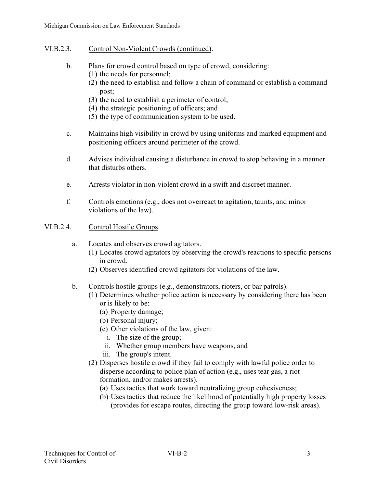- VI.B.2.3. Control Non-Violent Crowds (continued).
	- b. Plans for crowd control based on type of crowd, considering:
		- (1) the needs for personnel;
		- (2) the need to establish and follow a chain of command or establish a command post;
		- (3) the need to establish a perimeter of control;
		- (4) the strategic positioning of officers; and
		- (5) the type of communication system to be used.
	- c. Maintains high visibility in crowd by using uniforms and marked equipment and positioning officers around perimeter of the crowd.
	- d. Advises individual causing a disturbance in crowd to stop behaving in a manner that disturbs others.
	- e. Arrests violator in non-violent crowd in a swift and discreet manner.
	- f. Controls emotions (e.g., does not overreact to agitation, taunts, and minor violations of the law).
- VI.B.2.4. Control Hostile Groups.
	- a. Locates and observes crowd agitators.
		- (1) Locates crowd agitators by observing the crowd's reactions to specific persons in crowd.
		- (2) Observes identified crowd agitators for violations of the law.
	- b. Controls hostile groups (e.g., demonstrators, rioters, or bar patrols).
		- (1) Determines whether police action is necessary by considering there has been or is likely to be:
			- (a) Property damage;
			- (b) Personal injury;
			- (c) Other violations of the law, given:
				- i. The size of the group;
				- ii. Whether group members have weapons, and
			- iii. The group's intent.
		- (2) Disperses hostile crowd if they fail to comply with lawful police order to disperse according to police plan of action (e.g., uses tear gas, a riot formation, and/or makes arrests).
			- (a) Uses tactics that work toward neutralizing group cohesiveness;
			- (b) Uses tactics that reduce the likelihood of potentially high property losses (provides for escape routes, directing the group toward low-risk areas).